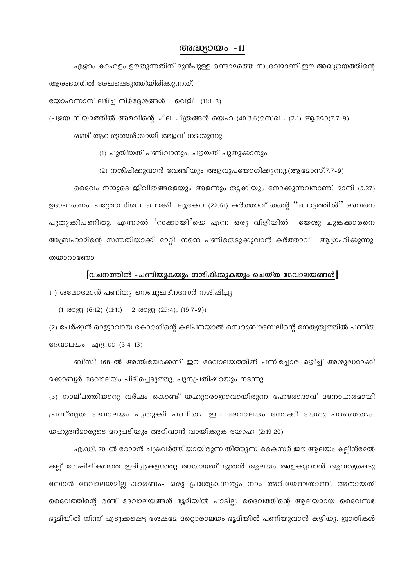#### അദ്ധ്യായം -11

ഏഴാം കാഹളം ഊതുന്നതിന് മുൻപുള്ള രണ്ടാമത്തെ സംഭവമാണ് ഈ അദ്ധ്യായത്തിന്റെ ആരംഭത്തിൽ രേഖപ്പെടുത്തിയിരിക്കുന്നത്.

യോഹന്നാന് ലഭിച്ച നിർദ്ദേശങ്ങൾ - വെളി- (11:1-2)

(പഴയ നിയമത്തിൽ അളവിന്റെ ചില ചിത്രങ്ങൾ യെഹ (40:3,6)സെഖ : (2:1) ആമോ(7:7-9)

രണ്ട് ആവശ്യങ്ങൾക്കായി അളവ് നടക്കുന്നു.

(1) പുതിയത് പണിവാനും, പഴയത് പുതുക്കാനും

(2) നശിഷിക്കുവാൻ വേണ്ടിയും അളവുപയോഗിക്കുന്നു.(ആമോസ്.7.7-9)

ദൈവം നമ്മുടെ ജീവിതങ്ങളെയും അളന്നും തൂക്കിയും നോക്കുന്നവനാണ്. ദാനി (5:27) ഉദാഹരണം: പത്രോസിനെ നോക്കി -ലൂക്കോ (22.61) കർത്താവ് തന്റെ ''നോട്ടത്തിൽ'' അവനെ പുതുക്കിപണിതു. എന്നാൽ 'സക്കായി'യെ എന്ന ഒരു വിളിയിൽ യേശു ചുങ്കക്കാരനെ അബ്രഹാമിന്റെ സന്തതിയാക്കി മാറ്റി. നമ്മെ പണിതെടുക്കുവാൻ കർത്താവ് ആഗ്രഹിക്കുന്നു. തയാറാണോ

### $\lceil$ വചനത്തിൽ -പണിയുകയും നശിഷിക്കുകയും ചെയ്ത ദേവാലയങ്ങൾ $\lceil$

1) ശലോമോൻ പണിതു-നെബുഖദ്നസേർ നശിപ്പിച്ചു

 $(1 \t0397 (6:12) (11:11) 2 \t0397 (25:4), (15:7-9))$ 

(2) പേർഷ്യൻ രാജാവായ കോരശിന്റെ കല്പനയാൽ സെരുബാബേലിന്റെ നേത്യത്വത്തിൽ പണിത ദേവാലയം- എസ്രാ (3:4-13)

ബിസി 168-ൽ അന്തിയോക്കസ് ഈ ദേവാലയത്തിൽ പന്നിച്ചോര ഒഴിച്ച് അശുദ്ധമാക്കി മക്കാബ്യർ ദേവാലയം പിടിച്ചെടുത്തു, പുനപ്രതിഷ്ഠയും നടന്നു.

(3) നാല്പത്തിയാറു വർഷം കൊണ്ട് യഹുദരാജാവായിരുന്ന ഹേരോദാവ് മനോഹരമായി പ്രസ്തുത ദേവാലയം പുതുക്കി പണിതു. ഈ ദേവാലയം നോക്കി യേശു പറഞ്ഞതും, യഹുദൻമാരുടെ മറുപടിയും അറിവാൻ വായിക്കുക യോഹ (2:19,20)

എ.ഡി. 70-ൽ റോമൻ ചക്രവർത്തിയായിരുന്ന തീത്തൂസ് കൈസർ ഈ ആലയം കല്ലിൻദേൽ കല്ല് ശേഷിപ്പിക്കാതെ ഇടിച്ചുകളഞ്ഞു അതായത് ദൂതൻ ആലയം അളക്കുവാൻ ആവശ്യപ്പെടു മ്പോൾ ദേവാലയമില കാരണം- ഒരു പ്രത്യേകസത്യം നാം അറിയേണ്ടതാണ്. അതായത് ദൈവത്തിന്റെ രണ്ട് ദേവാലയങ്ങൾ ഭൂമിയിൽ പാടില്ല. ദൈവത്തിന്റെ ആലയമായ ദൈവസഭ ഭൂമിയിൽ നിന്ന് എടുക്കപ്പെട്ട ശേഷമേ മറ്റൊരാലയം ഭൂമിയിൽ പണിയുവാൻ കഴിയു. ജാതികൾ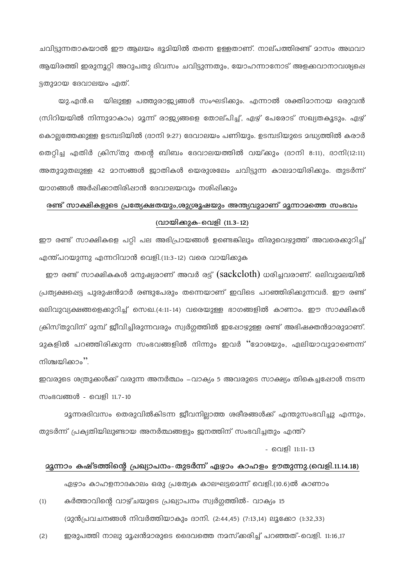ചവിട്ടുന്നതാകയാൽ ഈ ആലയം ഭൂമിയിൽ തന്നെ ഉള്ളതാണ്. നാല്പത്തിരണ്ട് മാസം അഥവാ ആയിരത്തി ഇരുനൂറ്റി അറുപതു ദിവസം ചവിട്ടുന്നതും, യോഹന്നാനോട് അളക്കവാനാവശ്യപ്പെ ട്ടതുമായ ദേവാലയം ഏത്.

യു.എൻ.ഒ യിലുള്ള പത്തുരാജ്യങ്ങൾ സംഘടിക്കും. എന്നാൽ ശക്തിമാനായ ഒരുവൻ (സിറിയയിൽ നിന്നുമാകാം) മൂന്ന് രാജ്യങ്ങളെ തോല്പിച്ച്, ഏഴ് പേരോട് സഖ്യതകൂടും. ഏഴ് കൊല്ലത്തേക്കുള്ള ഉടമ്പടിയിൽ (ദാനി 9:27) ദേവാലയം പണിയും. ഉടമ്പടിയുടെ മദ്ധ്യത്തിൽ കരാർ തെറ്റിച്ച എതിർ ക്രിസ്തു തന്റെ ബിബം ദേവാലയത്തിൽ വയ്ക്കും (ദാനി 8:11), ദാനി(12:11) അതുമുതലുള്ള 42 മാസങ്ങൾ ജാതികൾ യെരുശലേം ചവിട്ടുന്ന കാലമായിരിക്കും. തുടർന്ന് യാഗങ്ങൾ അർഷിക്കാതിരിഷാൻ ദേവാലയവും നശിഷിക്കും

# രണ്ട് സാക്ഷികളുടെ പ്രത്യേക്ഷതയും,ശുശ്രൂഷയും അന്ത്യവുമാണ് മൂന്നാമത്തെ സംഭവം (വായിക്കുക-വെളി (11.3-12)

ഈ രണ്ട് സാക്ഷികളെ പറ്റി പല അഭിപ്രായങ്ങൾ ഉണ്ടെങ്കിലും തിരുവെഴുത്ത് അവരെക്കുറിച്ച് എന്ത്പറയുന്നു എന്നറിവാൻ വെളി.(11:3-12) വരെ വായിക്കുക

ഈ രണ്ട് സാക്ഷികകൾ മനുഷ്യരാണ് അവർ രട്ട് (sackcloth) ധരിച്ചവരാണ്. ഒലിവുമലയിൽ പ്രത്യക്ഷപ്പെട്ട പുരുഷൻമാർ രണ്ടുപേരും തന്നെയാണ് ഇവിടെ പറഞ്ഞിരിക്കുന്നവർ. ഈ രണ്ട് ഒലിവുവ്യക്ഷങ്ങളെക്കുറിച്ച് സെഖ.(4:11-14) വരെയുള്ള ഭാഗങ്ങളിൽ കാണാം. ഈ സാക്ഷികൾ ക്രിസ്തുവിന് മുമ്പ് ജീവിച്ചിരുന്നവരും സ്വർഗ്ഗത്തിൽ ഇഷോഴുള്ള രണ്ട് അഭിഷക്തൻമാരുമാണ്. മുകളിൽ പറഞ്ഞിരിക്കുന്ന സംഭവങ്ങളിൽ നിന്നും ഇവർ "മോശയും, ഏലിയാവുമാണെന്ന് നിശ്ചയിക്കാം''.

ഇവരുടെ ശത്രുക്കൾക്ക് വരുന്ന അനർത്ഥം –വാക്യം 5 അവരുടെ സാക്ഷ്യം തികെച്ചപ്പോൾ നടന്ന സംഭവങ്ങൾ - വെളി 11.7-10

മൂന്നരദിവസം തെരുവിൽകിടന്ന ജീവനില്ലാത്ത ശരീരങ്ങൾക്ക് എന്തുസംഭവിച്ചു എന്നും, തുടർന്ന് പ്രക്യതിയിലുണ്ടായ അനർത്ഥങ്ങളും ഇനത്തിന് സംഭവിച്ചതും എന്ത്?

- വെളി 11:11-13

### **മൂന്നാം കഷ്ടത്തിന്റെ പ്രഖ്യാപനം-തുടർന്ന്** ഏഴാം കാഹളം ഊതുന്നു.(വെളി.11.14.18)

ഏഴാം കാഹളനാദകാലം ഒരു പ്രത്യേക കാലഘട്ടമെന്ന് വെളി.(10.6)ൽ കാണാം

- കർത്താവിന്റെ വാഴ്ചയുടെ പ്രഖ്യാപനം സ്വർഗ്ഗത്തിൽ- വാക്യം 15  $(1)$ (മുൻപ്രവചനങ്ങൾ നിവർത്തിയാകും ദാനി. (2:44,45) (7:13,14) ലൂക്കോ (1:32,33)
- ഇരുപത്തി നാലു മൂഷൻമാരുടെ ദൈവത്തെ നമസ്ക്കരിച്ച് പറഞ്ഞത്-വെളി. 11:16,17  $(2)$